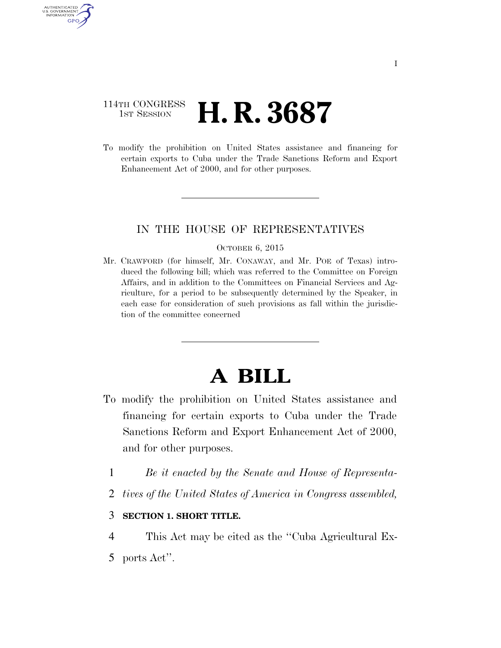### 114TH CONGRESS **1st Session H. R. 3687**

AUTHENTICATED U.S. GOVERNMENT GPO

> To modify the prohibition on United States assistance and financing for certain exports to Cuba under the Trade Sanctions Reform and Export Enhancement Act of 2000, and for other purposes.

### IN THE HOUSE OF REPRESENTATIVES

#### OCTOBER 6, 2015

Mr. CRAWFORD (for himself, Mr. CONAWAY, and Mr. POE of Texas) introduced the following bill; which was referred to the Committee on Foreign Affairs, and in addition to the Committees on Financial Services and Agriculture, for a period to be subsequently determined by the Speaker, in each case for consideration of such provisions as fall within the jurisdiction of the committee concerned

# **A BILL**

- To modify the prohibition on United States assistance and financing for certain exports to Cuba under the Trade Sanctions Reform and Export Enhancement Act of 2000, and for other purposes.
	- 1 *Be it enacted by the Senate and House of Representa-*
	- 2 *tives of the United States of America in Congress assembled,*

### 3 **SECTION 1. SHORT TITLE.**

- 4 This Act may be cited as the ''Cuba Agricultural Ex-
- 5 ports Act''.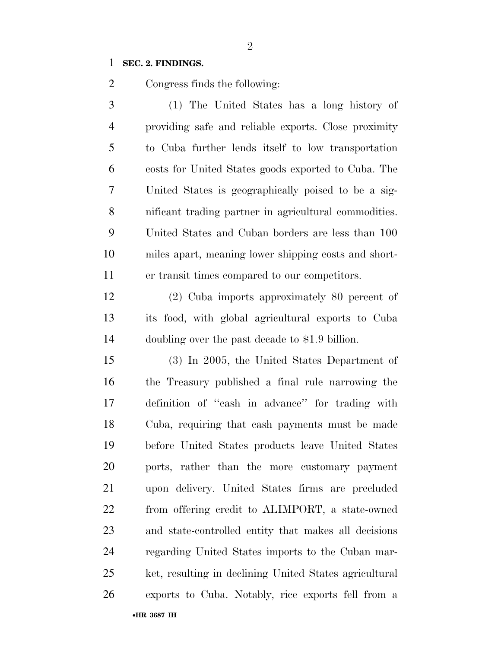#### **SEC. 2. FINDINGS.**

Congress finds the following:

 (1) The United States has a long history of providing safe and reliable exports. Close proximity to Cuba further lends itself to low transportation costs for United States goods exported to Cuba. The United States is geographically poised to be a sig- nificant trading partner in agricultural commodities. United States and Cuban borders are less than 100 miles apart, meaning lower shipping costs and short-er transit times compared to our competitors.

 (2) Cuba imports approximately 80 percent of its food, with global agricultural exports to Cuba doubling over the past decade to \$1.9 billion.

•**HR 3687 IH** (3) In 2005, the United States Department of the Treasury published a final rule narrowing the definition of ''cash in advance'' for trading with Cuba, requiring that cash payments must be made before United States products leave United States ports, rather than the more customary payment upon delivery. United States firms are precluded from offering credit to ALIMPORT, a state-owned and state-controlled entity that makes all decisions regarding United States imports to the Cuban mar- ket, resulting in declining United States agricultural exports to Cuba. Notably, rice exports fell from a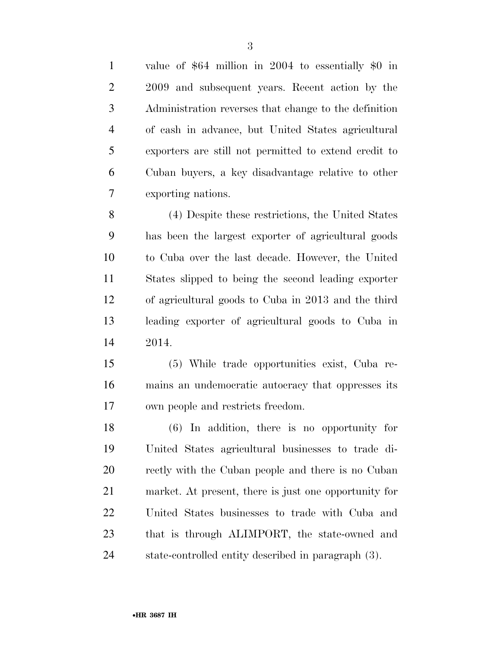value of \$64 million in 2004 to essentially \$0 in 2009 and subsequent years. Recent action by the Administration reverses that change to the definition of cash in advance, but United States agricultural exporters are still not permitted to extend credit to Cuban buyers, a key disadvantage relative to other exporting nations.

 (4) Despite these restrictions, the United States has been the largest exporter of agricultural goods to Cuba over the last decade. However, the United States slipped to being the second leading exporter of agricultural goods to Cuba in 2013 and the third leading exporter of agricultural goods to Cuba in 2014.

 (5) While trade opportunities exist, Cuba re- mains an undemocratic autocracy that oppresses its own people and restricts freedom.

 (6) In addition, there is no opportunity for United States agricultural businesses to trade di- rectly with the Cuban people and there is no Cuban market. At present, there is just one opportunity for United States businesses to trade with Cuba and that is through ALIMPORT, the state-owned and state-controlled entity described in paragraph (3).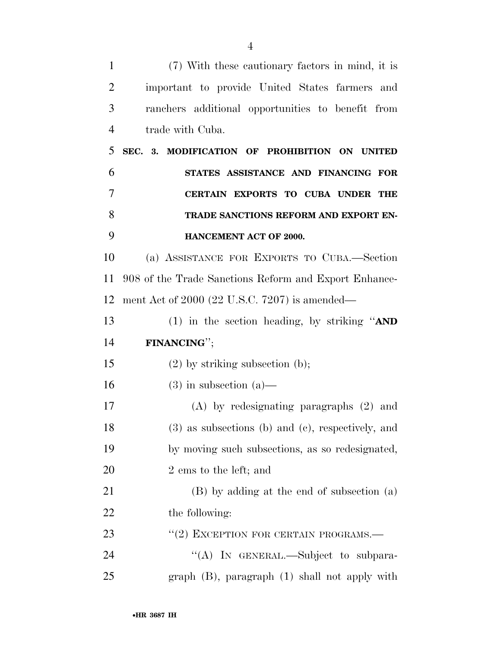| $\mathbf{1}$   | (7) With these cautionary factors in mind, it is      |
|----------------|-------------------------------------------------------|
| $\overline{2}$ | important to provide United States farmers and        |
| 3              | ranchers additional opportunities to benefit from     |
| 4              | trade with Cuba.                                      |
| 5              | SEC. 3. MODIFICATION OF PROHIBITION ON UNITED         |
| 6              | STATES ASSISTANCE AND FINANCING FOR                   |
| 7              | CERTAIN EXPORTS TO CUBA UNDER THE                     |
| 8              | TRADE SANCTIONS REFORM AND EXPORT EN-                 |
| 9              | <b>HANCEMENT ACT OF 2000.</b>                         |
| 10             | (a) ASSISTANCE FOR EXPORTS TO CUBA.—Section           |
| 11             | 908 of the Trade Sanctions Reform and Export Enhance- |
| 12             | ment Act of $2000$ (22 U.S.C. 7207) is amended—       |
| 13             | (1) in the section heading, by striking " $AND$       |
| 14             | FINANCING";                                           |
| 15             | $(2)$ by striking subsection (b);                     |
| 16             | $(3)$ in subsection $(a)$ —                           |
| 17             | $(A)$ by redesignating paragraphs $(2)$ and           |
| 18             | $(3)$ as subsections (b) and (c), respectively, and   |
| 19             | by moving such subsections, as so redesignated,       |
| 20             | 2 ems to the left; and                                |
| 21             | (B) by adding at the end of subsection (a)            |
| 22             | the following:                                        |
| 23             | "(2) EXCEPTION FOR CERTAIN PROGRAMS.-                 |
| 24             | "(A) IN GENERAL.—Subject to subpara-                  |
| 25             | $graph$ (B), paragraph (1) shall not apply with       |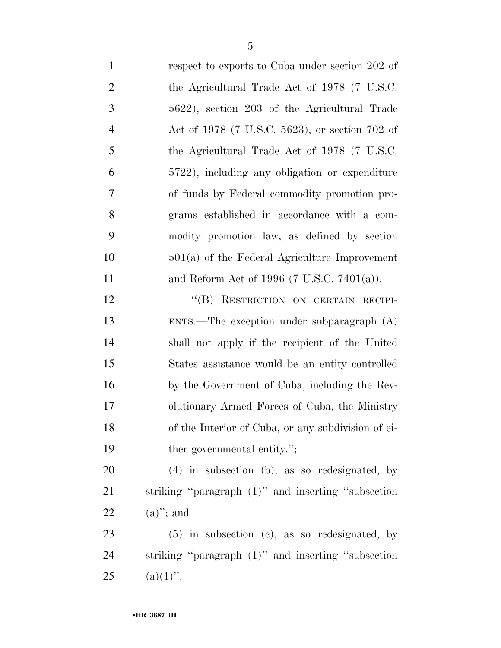| $\mathbf{1}$   | respect to exports to Cuba under section 202 of        |
|----------------|--------------------------------------------------------|
| $\overline{2}$ | the Agricultural Trade Act of 1978 (7 U.S.C.           |
| $\mathfrak{Z}$ | 5622), section 203 of the Agricultural Trade           |
| $\overline{4}$ | Act of 1978 (7 U.S.C. 5623), or section 702 of         |
| 5              | the Agricultural Trade Act of 1978 (7 U.S.C.           |
| 6              | 5722), including any obligation or expenditure         |
| $\tau$         | of funds by Federal commodity promotion pro-           |
| 8              | grams established in accordance with a com-            |
| 9              | modity promotion law, as defined by section            |
| 10             | $501(a)$ of the Federal Agriculture Improvement        |
| 11             | and Reform Act of 1996 (7 U.S.C. 7401(a)).             |
| 12             | "(B) RESTRICTION ON CERTAIN RECIPI-                    |
| 13             | $\text{ENTS.}$ -The exception under subparagraph $(A)$ |
| 14             | shall not apply if the recipient of the United         |
| 15             | States assistance would be an entity controlled        |
| 16             | by the Government of Cuba, including the Rev-          |
| 17             | olutionary Armed Forces of Cuba, the Ministry          |
| 18             | of the Interior of Cuba, or any subdivision of ei-     |
| 19             | ther governmental entity.";                            |
| 20             | $(4)$ in subsection (b), as so redesignated, by        |
| 21             | striking "paragraph (1)" and inserting "subsection     |
| 22             | $(a)$ "; and                                           |
| 23             | $(5)$ in subsection (c), as so redesignated, by        |
| 24             | striking "paragraph (1)" and inserting "subsection     |
| 25             | $(a)(1)$ ".                                            |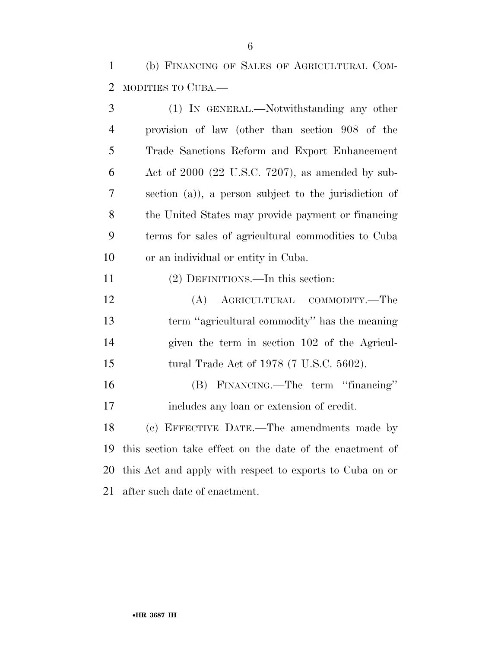(b) FINANCING OF SALES OF AGRICULTURAL COM-MODITIES TO CUBA.—

| 3              | (1) IN GENERAL.—Notwithstanding any other                |
|----------------|----------------------------------------------------------|
| $\overline{4}$ | provision of law (other than section 908 of the          |
| 5              | Trade Sanctions Reform and Export Enhancement            |
| 6              | Act of $2000$ (22 U.S.C. 7207), as amended by sub-       |
| 7              | section (a)), a person subject to the jurisdiction of    |
| 8              | the United States may provide payment or financing       |
| 9              | terms for sales of agricultural commodities to Cuba      |
| 10             | or an individual or entity in Cuba.                      |
| 11             | (2) DEFINITIONS.—In this section:                        |
| 12             | AGRICULTURAL COMMODITY.-The<br>(A)                       |
| 13             | term "agricultural commodity" has the meaning            |
| 14             | given the term in section 102 of the Agricul-            |
| 15             | tural Trade Act of 1978 (7 U.S.C. 5602).                 |
| 16             | (B) FINANCING.—The term "financing"                      |
| 17             | includes any loan or extension of credit.                |
| 18             | (c) EFFECTIVE DATE.—The amendments made by               |
| 19             | this section take effect on the date of the enactment of |
| 20             | this Act and apply with respect to exports to Cuba on or |
| 21             | after such date of enactment.                            |

•**HR 3687 IH**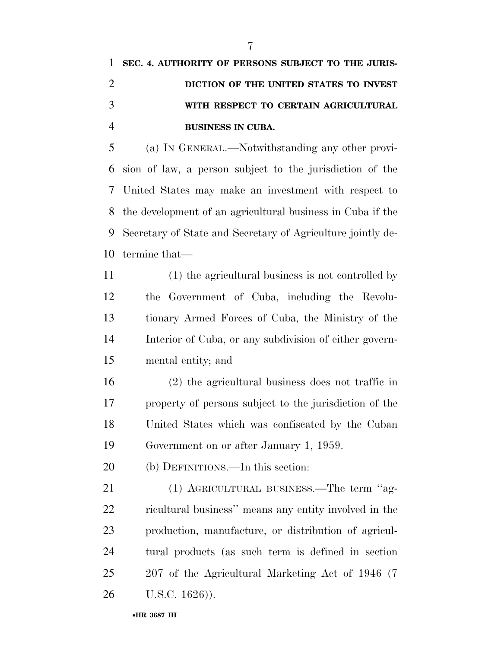## **SEC. 4. AUTHORITY OF PERSONS SUBJECT TO THE JURIS- DICTION OF THE UNITED STATES TO INVEST WITH RESPECT TO CERTAIN AGRICULTURAL BUSINESS IN CUBA.**

 (a) IN GENERAL.—Notwithstanding any other provi- sion of law, a person subject to the jurisdiction of the United States may make an investment with respect to the development of an agricultural business in Cuba if the Secretary of State and Secretary of Agriculture jointly de-termine that—

 (1) the agricultural business is not controlled by the Government of Cuba, including the Revolu- tionary Armed Forces of Cuba, the Ministry of the Interior of Cuba, or any subdivision of either govern-mental entity; and

 (2) the agricultural business does not traffic in property of persons subject to the jurisdiction of the United States which was confiscated by the Cuban Government on or after January 1, 1959.

(b) DEFINITIONS.—In this section:

 (1) AGRICULTURAL BUSINESS.—The term ''ag- ricultural business'' means any entity involved in the production, manufacture, or distribution of agricul- tural products (as such term is defined in section 207 of the Agricultural Marketing Act of 1946 (7 U.S.C. 1626)).